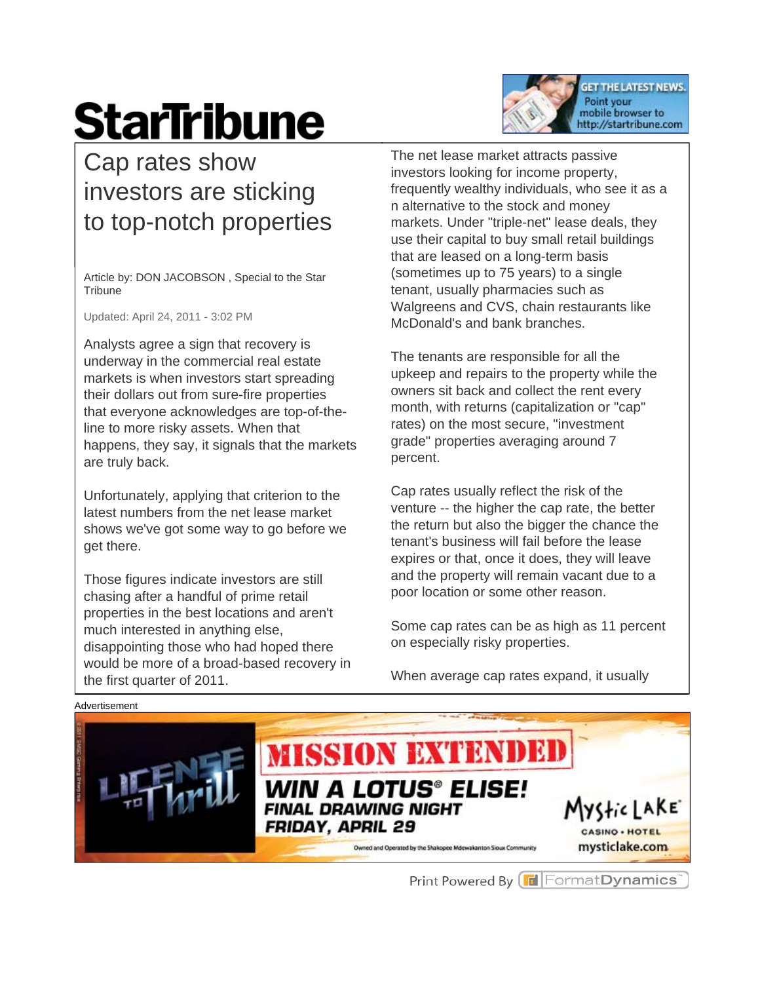## **StarTribune**



## Cap rates show investors are sticking to top-notch properties

Article by: DON JACOBSON , Special to the Star **Tribune** 

Updated: April 24, 2011 - 3:02 PM

Analysts agree a sign that recovery is underway in the commercial real estate markets is when investors start spreading their dollars out from sure-fire properties that everyone acknowledges are top-of-theline to more risky assets. When that happens, they say, it signals that the markets are truly back.

Unfortunately, applying that criterion to the latest numbers from the net lease market shows we've got some way to go before we get there.

Those figures indicate investors are still chasing after a handful of prime retail properties in the best locations and aren't much interested in anything else, disappointing those who had hoped there would be more of a broad-based recovery in the first quarter of 2011.

The net lease market attracts passive investors looking for income property, frequently wealthy individuals, who see it as a n alternative to the stock and money markets. Under "triple-net" lease deals, they use their capital to buy small retail buildings that are leased on a long-term basis (sometimes up to 75 years) to a single tenant, usually pharmacies such as Walgreens and CVS, chain restaurants like McDonald's and bank branches.

The tenants are responsible for all the upkeep and repairs to the property while the owners sit back and collect the rent every month, with returns (capitalization or "cap" rates) on the most secure, "investment grade" properties averaging around 7 percent.

Cap rates usually reflect the risk of the venture -- the higher the cap rate, the better the return but also the bigger the chance the tenant's business will fail before the lease expires or that, once it does, they will leave and the property will remain vacant due to a poor location or some other reason.

Some cap rates can be as high as 11 percent on especially risky properties.

When average cap rates expand, it usually



Print Powered By FormatDynamics"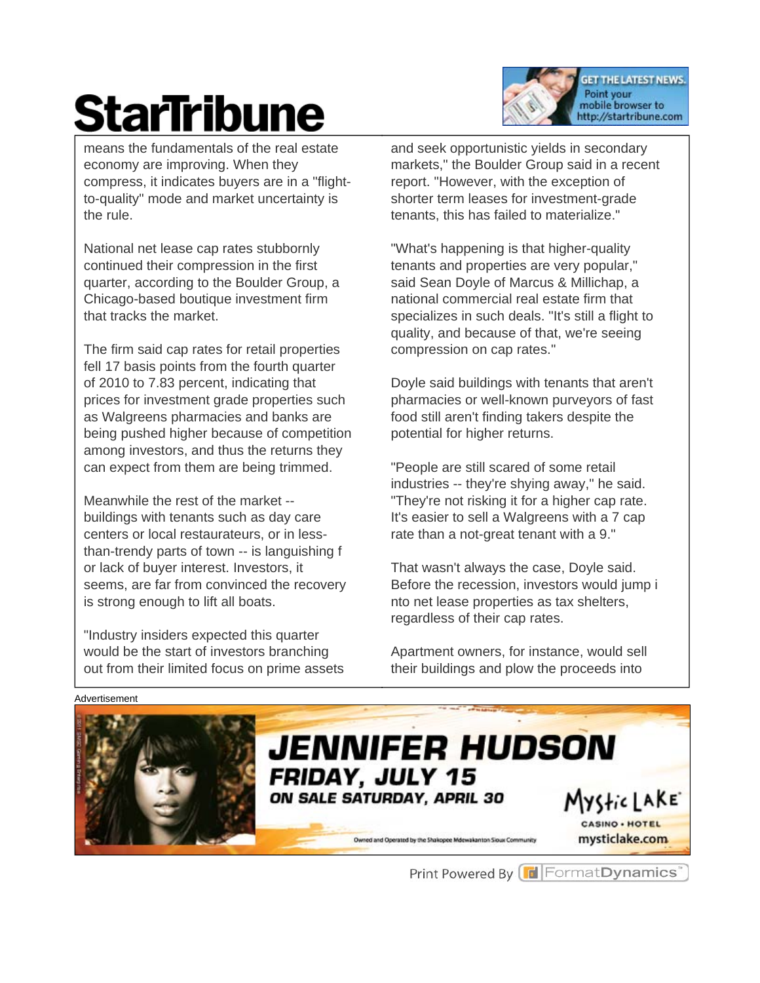## **StarTribune**



means the fundamentals of the real estate economy are improving. When they compress, it indicates buyers are in a "flightto-quality" mode and market uncertainty is the rule.

National net lease cap rates stubbornly continued their compression in the first quarter, according to the Boulder Group, a Chicago-based boutique investment firm that tracks the market.

The firm said cap rates for retail properties fell 17 basis points from the fourth quarter of 2010 to 7.83 percent, indicating that prices for investment grade properties such as Walgreens pharmacies and banks are being pushed higher because of competition among investors, and thus the returns they can expect from them are being trimmed.

Meanwhile the rest of the market - buildings with tenants such as day care centers or local restaurateurs, or in lessthan-trendy parts of town -- is languishing f or lack of buyer interest. Investors, it seems, are far from convinced the recovery is strong enough to lift all boats.

"Industry insiders expected this quarter would be the start of investors branching out from their limited focus on prime assets and seek opportunistic yields in secondary markets," the Boulder Group said in a recent report. "However, with the exception of shorter term leases for investment-grade tenants, this has failed to materialize."

"What's happening is that higher-quality tenants and properties are very popular," said Sean Doyle of Marcus & Millichap, a national commercial real estate firm that specializes in such deals. "It's still a flight to quality, and because of that, we're seeing compression on cap rates."

Doyle said buildings with tenants that aren't pharmacies or well-known purveyors of fast food still aren't finding takers despite the potential for higher returns.

"People are still scared of some retail industries -- they're shying away," he said. "They're not risking it for a higher cap rate. It's easier to sell a Walgreens with a 7 cap rate than a not-great tenant with a 9."

That wasn't always the case, Doyle said. Before the recession, investors would jump i nto net lease properties as tax shelters, regardless of their cap rates.

Apartment owners, for instance, would sell their buildings and plow the proceeds into



Print Powered By FormatDynamics<sup>®</sup>